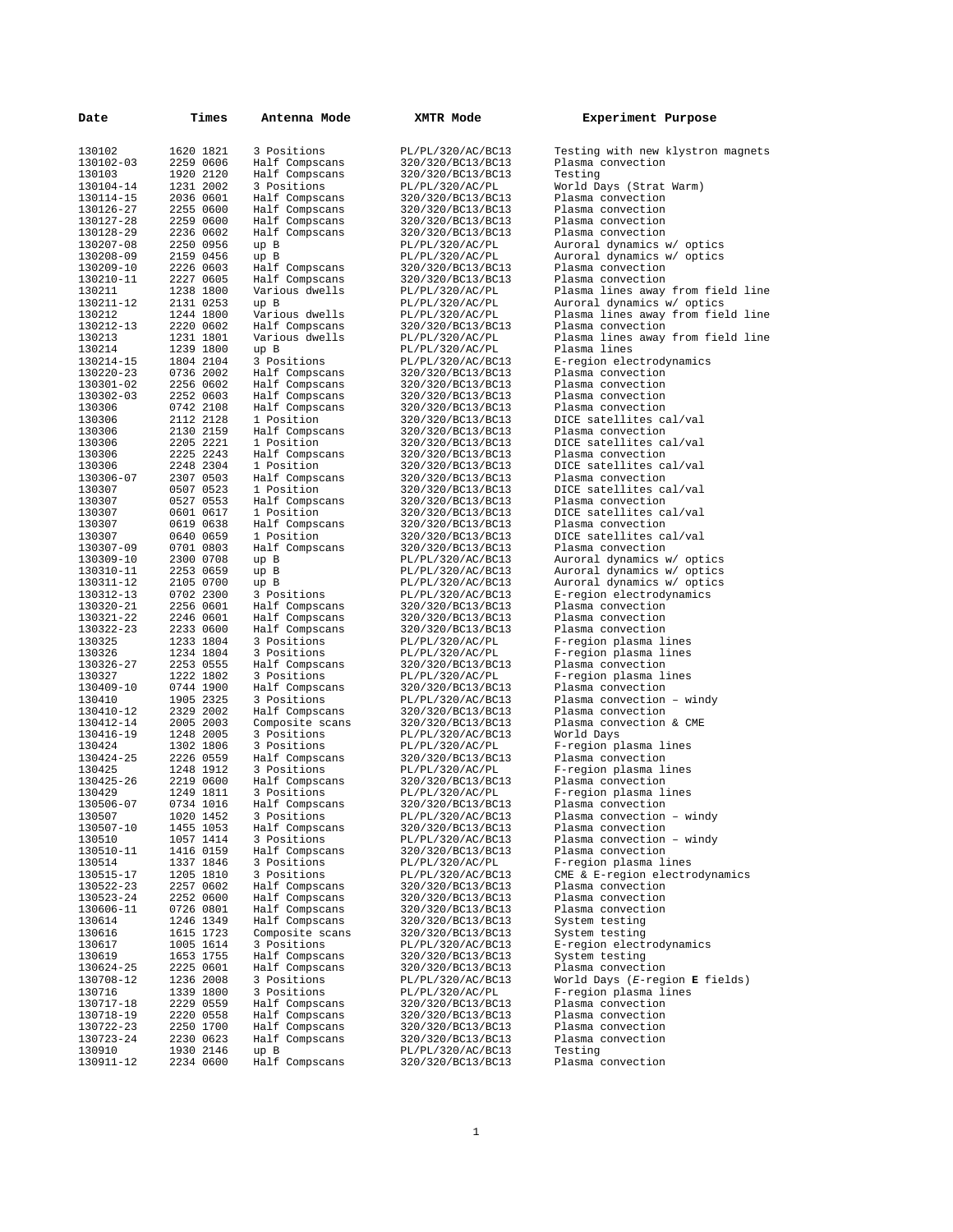| Date                   | Times                  | Antenna Mode                      | XMTR Mode                              | Experiment Purpose                                     |
|------------------------|------------------------|-----------------------------------|----------------------------------------|--------------------------------------------------------|
| 130102                 | 1620 1821              | 3 Positions                       | PL/PL/320/AC/BC13                      | Testing with new klystron magnets                      |
| 130102-03              | 2259 0606              | Half Compscans                    | 320/320/BC13/BC13                      | Plasma convection                                      |
| 130103                 | 1920 2120              | Half Compscans                    | 320/320/BC13/BC13                      | Testing                                                |
| 130104-14              | 1231 2002              | 3 Positions                       | PL/PL/320/AC/PL                        | World Days (Strat Warm)                                |
| 130114-15              | 2036 0601              | Half Compscans                    | 320/320/BC13/BC13                      | Plasma convection                                      |
| 130126-27              | 2255 0600              | Half Compscans                    | 320/320/BC13/BC13                      | Plasma convection                                      |
| 130127-28<br>130128-29 | 2259 0600<br>2236 0602 | Half Compscans<br>Half Compscans  | 320/320/BC13/BC13<br>320/320/BC13/BC13 | Plasma convection<br>Plasma convection                 |
| 130207-08              | 2250 0956              | up B                              | PL/PL/320/AC/PL                        | Auroral dynamics w/ optics                             |
| 130208-09              | 2159 0456              | up B                              | PL/PL/320/AC/PL                        | Auroral dynamics w/ optics                             |
| 130209-10              | 2226 0603              | Half Compscans                    | 320/320/BC13/BC13                      | Plasma convection                                      |
| 130210-11              | 2227 0605              | Half Compscans                    | 320/320/BC13/BC13                      | Plasma convection                                      |
| 130211                 | 1238 1800              | Various dwells                    | PL/PL/320/AC/PL                        | Plasma lines away from field line                      |
| 130211-12              | 2131 0253              | up B<br>Various dwells            | PL/PL/320/AC/PL                        | Auroral dynamics w/ optics                             |
| 130212<br>130212-13    | 1244 1800<br>2220 0602 | Half Compscans                    | PL/PL/320/AC/PL<br>320/320/BC13/BC13   | Plasma lines away from field line<br>Plasma convection |
| 130213                 | 1231 1801              | Various dwells                    | PL/PL/320/AC/PL                        | Plasma lines away from field line                      |
| 130214                 | 1239 1800              | up B                              | PL/PL/320/AC/PL                        | Plasma lines                                           |
| 130214-15              | 1804 2104              | 3 Positions                       | PL/PL/320/AC/BC13                      | E-region electrodynamics                               |
| 130220-23              | 0736 2002              | Half Compscans                    | 320/320/BC13/BC13                      | Plasma convection                                      |
| 130301-02              | 2256 0602              | Half Compscans                    | 320/320/BC13/BC13                      | Plasma convection                                      |
| 130302-03<br>130306    | 2252 0603<br>0742 2108 | Half Compscans                    | 320/320/BC13/BC13<br>320/320/BC13/BC13 | Plasma convection<br>Plasma convection                 |
| 130306                 | 2112 2128              | Half Compscans<br>1 Position      | 320/320/BC13/BC13                      | DICE satellites cal/val                                |
| 130306                 | 2130 2159              | Half Compscans                    | 320/320/BC13/BC13                      | Plasma convection                                      |
| 130306                 | 2205 2221              | 1 Position                        | 320/320/BC13/BC13                      | DICE satellites cal/val                                |
| 130306                 | 2225 2243              | Half Compscans                    | 320/320/BC13/BC13                      | Plasma convection                                      |
| 130306                 | 2248 2304              | 1 Position                        | 320/320/BC13/BC13                      | DICE satellites cal/val                                |
| 130306-07              | 2307 0503              | Half Compscans                    | 320/320/BC13/BC13                      | Plasma convection                                      |
| 130307                 | 0507 0523              | 1 Position                        | 320/320/BC13/BC13                      | DICE satellites cal/val                                |
| 130307<br>130307       | 0527 0553<br>0601 0617 | Half Compscans<br>1 Position      | 320/320/BC13/BC13<br>320/320/BC13/BC13 | Plasma convection<br>DICE satellites cal/val           |
| 130307                 | 0619 0638              | Half Compscans                    | 320/320/BC13/BC13                      | Plasma convection                                      |
| 130307                 | 0640 0659              | 1 Position                        | 320/320/BC13/BC13                      | DICE satellites cal/val                                |
| 130307-09              | 0701 0803              | Half Compscans                    | 320/320/BC13/BC13                      | Plasma convection                                      |
| 130309-10              | 2300 0708              | up B                              | PL/PL/320/AC/BC13                      | Auroral dynamics w/ optics                             |
| 130310-11              | 2253 0659              | up B                              | PL/PL/320/AC/BC13                      | Auroral dynamics w/ optics                             |
| 130311-12<br>130312-13 | 2105 0700<br>0702 2300 | up B<br>3 Positions               | PL/PL/320/AC/BC13<br>PL/PL/320/AC/BC13 | Auroral dynamics w/ optics<br>E-region electrodynamics |
| 130320-21              | 2256 0601              | Half Compscans                    | 320/320/BC13/BC13                      | Plasma convection                                      |
| 130321-22              | 2246 0601              | Half Compscans                    | 320/320/BC13/BC13                      | Plasma convection                                      |
| 130322-23              | 2233 0600              | Half Compscans                    | 320/320/BC13/BC13                      | Plasma convection                                      |
| 130325                 | 1233 1804              | 3 Positions                       | PL/PL/320/AC/PL                        | F-region plasma lines                                  |
| 130326                 | 1234 1804              | 3 Positions                       | PL/PL/320/AC/PL                        | F-region plasma lines                                  |
| 130326-27<br>130327    | 2253 0555<br>1222 1802 | Half Compscans<br>3 Positions     | 320/320/BC13/BC13<br>PL/PL/320/AC/PL   | Plasma convection<br>F-region plasma lines             |
| 130409-10              | 0744 1900              | Half Compscans                    | 320/320/BC13/BC13                      | Plasma convection                                      |
| 130410                 | 1905 2325              | 3 Positions                       | PL/PL/320/AC/BC13                      | Plasma convection - windy                              |
| 130410-12              | 2329 2002              | Half Compscans                    | 320/320/BC13/BC13                      | Plasma convection                                      |
| 130412-14              | 2005 2003              | Composite scans                   | 320/320/BC13/BC13                      | Plasma convection & CME                                |
| 130416-19              | 1248 2005              | 3 Positions                       | PL/PL/320/AC/BC13                      | World Days                                             |
| 130424                 | 1302 1806<br>2226 0559 | 3 Positions                       | PL/PL/320/AC/PL                        | F-region plasma lines                                  |
| 130424-25<br>130425    | 1248 1912              | Half Compscans<br>3 Positions     | 320/320/BC13/BC13<br>PL/PL/320/AC/PL   | Plasma convection<br>F-region plasma lines             |
| 130425-26              | 2219 0600              | Half Compscans                    | 320/320/BC13/BC13                      | Plasma convection                                      |
| 130429                 | 1249 1811              | 3 Positions                       | PL/PL/320/AC/PL                        | F-region plasma lines                                  |
| 130506-07              | 0734 1016              | Half Compscans                    | 320/320/BC13/BC13                      | Plasma convection                                      |
| 130507                 | 1020 1452              | 3 Positions                       | PL/PL/320/AC/BC13                      | Plasma convection - windy                              |
| 130507-10              | 1455 1053              | Half Compscans                    | 320/320/BC13/BC13                      | Plasma convection                                      |
| 130510<br>130510-11    | 1057 1414<br>1416 0159 | 3 Positions<br>Half Compscans     | PL/PL/320/AC/BC13<br>320/320/BC13/BC13 | Plasma convection - windy<br>Plasma convection         |
| 130514                 | 1337 1846              | 3 Positions                       | PL/PL/320/AC/PL                        | F-region plasma lines                                  |
| 130515-17              | 1205 1810              | 3 Positions                       | PL/PL/320/AC/BC13                      | CME & E-region electrodynamics                         |
| 130522-23              | 2257 0602              | Half Compscans                    | 320/320/BC13/BC13                      | Plasma convection                                      |
| 130523-24              | 2252 0600              | Half Compscans                    | 320/320/BC13/BC13                      | Plasma convection                                      |
| 130606-11              | 0726 0801              | Half Compscans                    | 320/320/BC13/BC13                      | Plasma convection                                      |
| 130614<br>130616       | 1246 1349<br>1615 1723 | Half Compscans<br>Composite scans | 320/320/BC13/BC13<br>320/320/BC13/BC13 | System testing<br>System testing                       |
| 130617                 | 1005 1614              | 3 Positions                       | PL/PL/320/AC/BC13                      | E-region electrodynamics                               |
| 130619                 | 1653 1755              | Half Compscans                    | 320/320/BC13/BC13                      | System testing                                         |
| 130624-25              | 2225 0601              | Half Compscans                    | 320/320/BC13/BC13                      | Plasma convection                                      |
| 130708-12              | 1236 2008              | 3 Positions                       | PL/PL/320/AC/BC13                      | World Days ( $E$ -region <b>E</b> fields)              |
| 130716                 | 1339 1800              | 3 Positions                       | PL/PL/320/AC/PL                        | F-region plasma lines                                  |
| 130717-18              | 2229 0559              | Half Compscans                    | 320/320/BC13/BC13                      | Plasma convection                                      |
| 130718-19<br>130722-23 | 2220 0558              | Half Compscans                    | 320/320/BC13/BC13                      | Plasma convection                                      |
|                        |                        |                                   |                                        |                                                        |
|                        | 2250 1700              | Half Compscans                    | 320/320/BC13/BC13                      | Plasma convection                                      |
| 130723-24<br>130910    | 2230 0623<br>1930 2146 | Half Compscans<br>up B            | 320/320/BC13/BC13<br>PL/PL/320/AC/BC13 | Plasma convection<br>Testing                           |